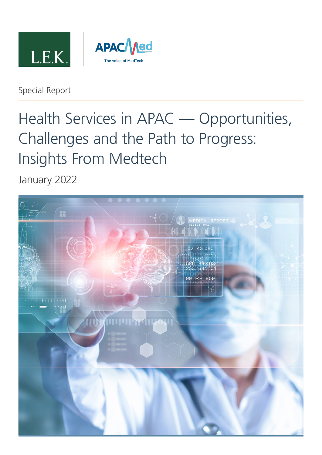



### Special Report

# Health Services in APAC — Opportunities, Challenges and the Path to Progress: Insights From Medtech

January 2022

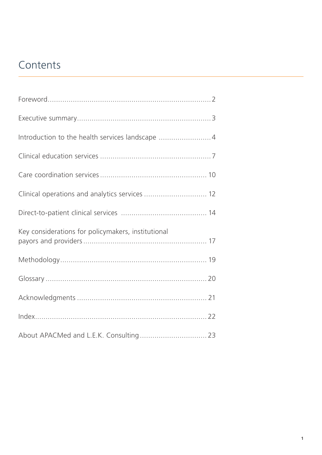## **Contents**

| Introduction to the health services landscape 4    |  |
|----------------------------------------------------|--|
|                                                    |  |
|                                                    |  |
| Clinical operations and analytics services  12     |  |
|                                                    |  |
| Key considerations for policymakers, institutional |  |
|                                                    |  |
|                                                    |  |
|                                                    |  |
|                                                    |  |
| About APACMed and L.E.K. Consulting 23             |  |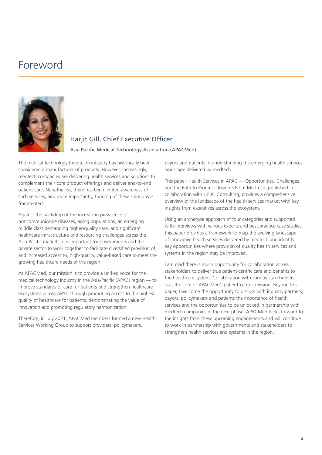## <span id="page-2-0"></span>Foreword



### Hariit Gill, Chief Executive Officer

Asia Pacific Medical Technology Association (APACMed)

The medical technology (medtech) industry has historically been considered a manufacturer of products. However, increasingly, medtech companies are delivering health services and solutions to complement their core product offerings and deliver end-to-end patient care. Nonetheless, there has been limited awareness of such services, and more importantly, funding of these solutions is fragmented.

Against the backdrop of the increasing prevalence of noncommunicable diseases, aging populations, an emerging middle class demanding higher-quality care, and significant healthcare infrastructure and resourcing challenges across the Asia-Pacific markets, it is important for governments and the private sector to work together to facilitate diversified provision of, and increased access to, high-quality, value-based care to meet the growing healthcare needs of the region.

At APACMed, our mission is to provide a unified voice for the medical technology industry in the Asia-Pacific (APAC) region — to improve standards of care for patients and strengthen healthcare ecosystems across APAC through promoting access to the highest quality of healthcare for patients, demonstrating the value of innovation and promoting regulatory harmonization.

Therefore, in July 2021, APACMed members formed a new Health Services Working Group to support providers, policymakers,

payors and patients in understanding the emerging health services landscape delivered by medtech.

This paper, Health Services in APAC — Opportunities, Challenges and the Path to Progress: Insights From Medtech, published in collaboration with L.E.K. Consulting, provides a comprehensive overview of the landscape of the health services market with key insights from executives across the ecosystem.

Using an archetype approach of four categories and supported with interviews with various experts and best practice case studies, this paper provides a framework to map the evolving landscape of innovative health services delivered by medtech and identify key opportunities where provision of quality health services and systems in the region may be improved.

I am glad there is much opportunity for collaboration across stakeholders to deliver true patient-centric care and benefits to the healthcare system. Collaboration with various stakeholders is at the core of APACMed's patient-centric mission. Beyond this paper, I welcome the opportunity to discuss with industry partners, payors, policymakers and patients the importance of health services and the opportunities to be unlocked in partnership with medtech companies in the next phase. APACMed looks forward to the insights from these upcoming engagements and will continue to work in partnership with governments and stakeholders to strengthen health services and systems in the region.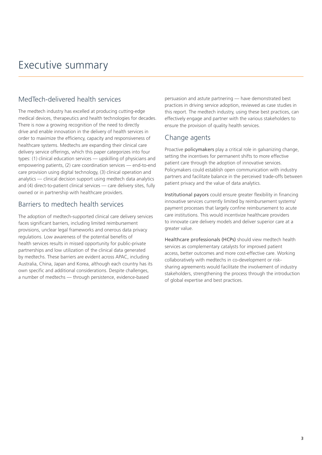## <span id="page-3-0"></span>Executive summary

### MedTech-delivered health services

The medtech industry has excelled at producing cutting-edge medical devices, therapeutics and health technologies for decades. There is now a growing recognition of the need to directly drive and enable innovation in the delivery of health services in order to maximize the efficiency, capacity and responsiveness of healthcare systems. Medtechs are expanding their clinical care delivery service offerings, which this paper categorizes into four types: (1) clinical education services — upskilling of physicians and empowering patients, (2) care coordination services — end-to-end care provision using digital technology, (3) clinical operation and analytics — clinical decision support using medtech data analytics and (4) direct-to-patient clinical services — care delivery sites, fully owned or in partnership with healthcare providers.

### Barriers to medtech health services

The adoption of medtech-supported clinical care delivery services faces significant barriers, including limited reimbursement provisions, unclear legal frameworks and onerous data privacy regulations. Low awareness of the potential benefits of health services results in missed opportunity for public-private partnerships and low utilization of the clinical data generated by medtechs. These barriers are evident across APAC, including Australia, China, Japan and Korea, although each country has its own specific and additional considerations. Despite challenges, a number of medtechs — through persistence, evidence-based

persuasion and astute partnering — have demonstrated best practices in driving service adoption, reviewed as case studies in this report. The medtech industry, using these best practices, can effectively engage and partner with the various stakeholders to ensure the provision of quality health services.

### Change agents

Proactive policymakers play a critical role in galvanizing change, setting the incentives for permanent shifts to more effective patient care through the adoption of innovative services. Policymakers could establish open communication with industry partners and facilitate balance in the perceived trade-offs between patient privacy and the value of data analytics.

Institutional payors could ensure greater flexibility in financing innovative services currently limited by reimbursement systems/ payment processes that largely confine reimbursement to acute care institutions. This would incentivize healthcare providers to innovate care delivery models and deliver superior care at a greater value.

Healthcare professionals (HCPs) should view medtech health services as complementary catalysts for improved patient access, better outcomes and more cost-effective care. Working collaboratively with medtechs in co-development or risksharing agreements would facilitate the involvement of industry stakeholders, strengthening the process through the introduction of global expertise and best practices.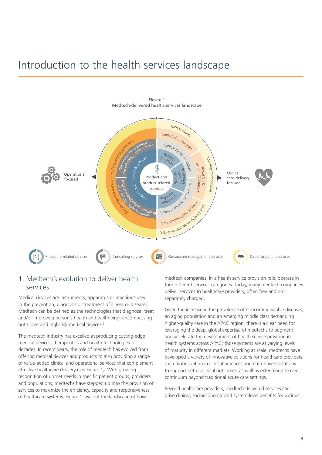## <span id="page-4-0"></span>Introduction to the health services landscape



1. Medtech's evolution to deliver health services

Medical devices are instruments, apparatus or machines used in the prevention, diagnosis or treatment of illness or disease.<sup>1</sup> Medtech can be defined as the technologies that diagnose, treat and/or improve a person's health and well-being, encompassing both low- and high-risk medical devices.<sup>2</sup>

The medtech industry has excelled at producing cutting-edge medical devices, therapeutics and health technologies for decades. In recent years, the role of medtech has evolved from offering medical devices and products to also providing a range of value-added clinical and operational services that complement effective healthcare delivery (see Figure 1). With growing recognition of unmet needs in specific patient groups, providers and populations, medtechs have stepped up into the provision of services to maximize the efficiency, capacity and responsiveness of healthcare systems. Figure 1 lays out the landscape of how

medtech companies, in a health service provision role, operate in four different services categories. Today, many medtech companies deliver services to healthcare providers, often free and not separately charged.

Given the increase in the prevalence of noncommunicable diseases, an aging population and an emerging middle class demanding higher-quality care in the APAC region, there is a clear need for leveraging the deep, global expertise of medtechs to augment and accelerate the development of health service provision in health systems across APAC; those systems are at varying levels of maturity in different markets. Working at scale, medtechs have developed a variety of innovative solutions for healthcare providers such as innovation in clinical practices and data-driven solutions to support better clinical outcomes, as well as extending the care continuum beyond traditional acute care settings.

Beyond healthcare providers, medtech-delivered services can drive clinical, socioeconomic and system-level benefits for various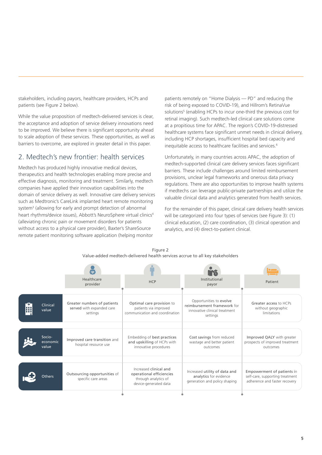stakeholders, including payors, healthcare providers, HCPs and patients (see Figure 2 below).

While the value proposition of medtech-delivered services is clear, the acceptance and adoption of service delivery innovations need to be improved. We believe there is significant opportunity ahead to scale adoption of these services. These opportunities, as well as barriers to overcome, are explored in greater detail in this paper.

### 2. Medtech's new frontier: health services

Medtech has produced highly innovative medical devices, therapeutics and health technologies enabling more precise and effective diagnosis, monitoring and treatment. Similarly, medtech companies have applied their innovation capabilities into the domain of service delivery as well. Innovative care delivery services such as Medtronic's CareLink implanted heart remote monitoring system<sup>3</sup> (allowing for early and prompt detection of abnormal heart rhythms/device issues), Abbott's NeuroSphere virtual clinics<sup>4</sup> (alleviating chronic pain or movement disorders for patients without access to a physical care provider), Baxter's ShareSource remote patient monitoring software application (helping monitor

patients remotely on "Home Dialysis — PD" and reducing the risk of being exposed to COVID-19), and Hillrom's RetinaVue solutions<sup>[5](#page-24-0)</sup> (enabling HCPs to incur one-third the previous cost for retinal imaging). Such medtech-led clinical care solutions come at a propitious time for APAC. The region's COVID-19-distressed healthcare systems face significant unmet needs in clinical delivery, including HCP shortages, insufficient hospital bed capacity and inequitable access to healthcare facilities and services.<sup>6</sup>

Unfortunately, in many countries across APAC, the adoption of medtech-supported clinical care delivery services faces significant barriers. These include challenges around limited reimbursement provisions, unclear legal frameworks and onerous data privacy regulations. There are also opportunities to improve health systems if medtechs can leverage public-private partnerships and utilize the valuable clinical data and analytics generated from health services.

For the remainder of this paper, clinical care delivery health services will be categorized into four types of services (see Figure 3): (1) clinical education, (2) care coordination, (3) clinical operation and analytics, and (4) direct-to-patient clinical.

|                             | Healthcare<br>provider                                               | <b>HCP</b>                                                                                          | Institutional<br>payor                                                                              | Patient                                                                                        |
|-----------------------------|----------------------------------------------------------------------|-----------------------------------------------------------------------------------------------------|-----------------------------------------------------------------------------------------------------|------------------------------------------------------------------------------------------------|
| Clinical<br>value           | Greater numbers of patients<br>served with expanded care<br>settings | Optimal care provision to<br>patients via improved<br>communication and coordination                | Opportunities to evolve<br>reimbursement framework for<br>innovative clinical treatment<br>settings | Greater access to HCPs<br>without geographic<br>limitations                                    |
| Socio-<br>economic<br>value | Improved care transition and<br>hospital resource use                | Embedding of best practices<br>and upskilling of HCPs with<br>innovative procedures                 | Cost savings from reduced<br>wastage and better patient<br>outcomes                                 | Improved QALY with greater<br>prospects of improved treatment<br>outcomes                      |
| Others                      | Outsourcing opportunities of<br>specific care areas                  | Increased clinical and<br>operational efficiencies<br>through analytics of<br>device-generated data | Increased utility of data and<br>analytics for evidence<br>generation and policy shaping            | Empowerment of patients in<br>self-care, supporting treatment<br>adherence and faster recovery |

Figure 2 Value-added medtech-delivered health services accrue to all key stakeholders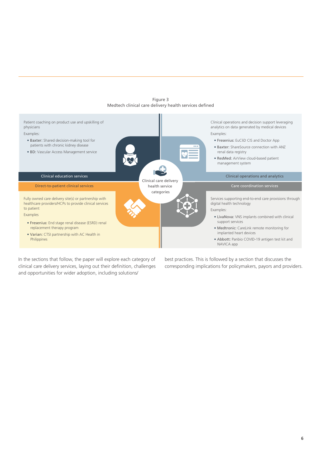

Figure 3 Medtech clinical care delivery health services defined

In the sections that follow, the paper will explore each category of clinical care delivery services, laying out their definition, challenges and opportunities for wider adoption, including solutions/

best practices. This is followed by a section that discusses the corresponding implications for policymakers, payors and providers.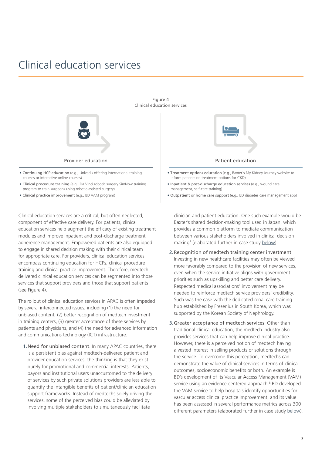## <span id="page-7-0"></span>Clinical education services



- Continuing HCP education (e.g., Univadis offering international training courses or interactive online courses)
- Clinical procedure training (e.g., Da Vinci robotic surgery SimNow training program to train surgeons using robotic-assisted surgery)
- Clinical practice improvement (e.g., BD VAM program)

Clinical education services are a critical, but often neglected, component of effective care delivery. For patients, clinical education services help augment the efficacy of existing treatment modules and improve inpatient and post-discharge treatment adherence management. Empowered patients are also equipped to engage in shared decision making with their clinical team for appropriate care. For providers, clinical education services encompass continuing education for HCPs, clinical procedure training and clinical practice improvement. Therefore, medtechdelivered clinical education services can be segmented into those services that support providers and those that support patients (see Figure 4).

The rollout of clinical education services in APAC is often impeded by several interconnected issues, including (1) the need for unbiased content, (2) better recognition of medtech investment in training centers, (3) greater acceptance of these services by patients and physicians, and (4) the need for advanced information and communications technology (ICT) infrastructure.

1.Need for unbiased content. In many APAC countries, there is a persistent bias against medtech-delivered patient and provider education services; the thinking is that they exist purely for promotional and commercial interests. Patients, payors and institutional users unaccustomed to the delivery of services by such private solutions providers are less able to quantify the intangible benefits of patient/clinician education support frameworks. Instead of medtechs solely driving the services, some of the perceived bias could be alleviated by involving multiple stakeholders to simultaneously facilitate



Figure 4 Clinical education services

#### Provider education **Provider education Provider education**

- Treatment options education (e.g., Baxter's My Kidney Journey website to inform patients on treatment options for CKD)
- Inpatient & post-discharge education services (e.g., wound care management, self-care training)
- Outpatient or home care support (e.g., BD diabetes care management app)

clinician and patient education. One such example would be Baxter's shared decision-making tool used in Japan, which provides a common platform to mediate communication between various stakeholders involved in clinical decision making<sup>[7](#page-24-0)</sup> (elaborated further in case study [below\)](#page-8-0).

- 2.Recognition of medtech training center investment. Investing in new healthcare facilities may often be viewed more favorably compared to the provision of new services, even when the service initiative aligns with government priorities such as upskilling and better care delivery. Respected medical associations' involvement may be needed to reinforce medtech service providers' credibility. Such was the case with the dedicated renal care training hub established by Fresenius in South Korea, which was supported by the Korean Society of Nephrology.
- 3.Greater acceptance of medtech services. Other than traditional clinical education, the medtech industry also provides services that can help improve clinical practice. However, there is a perceived notion of medtech having a vested interest in selling products or solutions through the service. To overcome this perception, medtechs can demonstrate the value of clinical services in terms of clinical outcomes, socioeconomic benefits or both. An example is BD's development of its Vascular Access Management (VAM) service using an evidence-centered approach.<sup>8</sup> BD developed the VAM service to help hospitals identify opportunities for vascular access clinical practice improvement, and its value has been assessed in several performance metrics across 300 different parameters (elaborated further in case study [below](#page-9-0)).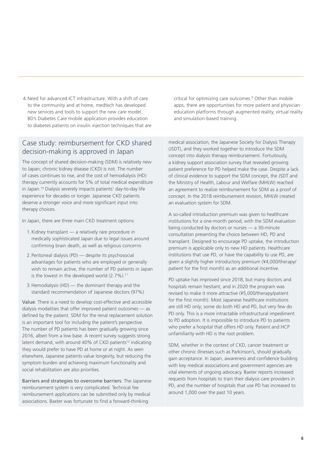4.Need for advanced ICT infrastructure. With a shift of care to the community and at home, medtech has developed new services and tools to support the new care model. BD's Diabetes Care mobile application provides education to diabetes patients on insulin injection techniques that are

### <span id="page-8-0"></span>Case study: reimbursement for CKD shared decision-making is approved in Japan

The concept of shared decision-making (SDM) is relatively new to Japan; chronic kidney disease (CKD) is not. The number of cases continues to rise, and the cost of hemodialysis (HD) therapy currently accounts for 5% of total medical expenditure in Japan[.10](#page-24-0) Dialysis severely impacts patients' day-to-day life experience for decades or longer. Japanese CKD patients deserve a stronger voice and more significant input into therapy choices.

In Japan, there are three main CKD treatment options:

- 1.Kidney transplant a relatively rare procedure in medically sophisticated Japan due to legal issues around confirming brain death, as well as religious concerns
- 2.Peritoneal dialysis (PD) despite its psychosocial advantages for patients who are employed or generally wish to remain active, the number of PD patients in Japan is the lowest in the developed world  $(2.7\%)$ .<sup>[11](#page-24-0)</sup>
- 3.Hemodialysis (HD) the dominant therapy and the standard recommendation of Japanese doctors (97%)

Value: There is a need to develop cost-effective and accessible dialysis modalities that offer improved patient outcomes — as defined by the patient. SDM for the renal replacement solution is an important tool for including the patient's perspective. The number of PD patients has been gradually growing since 2016, albeit from a low base. A recent survey suggests strong latent demand, with around 40% of CKD patients<sup>12</sup> indicating they would prefer to have PD at home or at night. As seen elsewhere, Japanese patients value longevity, but reducing the symptom burden and achieving maximum functionality and social rehabilitation are also priorities.

Barriers and strategies to overcome barriers: The Japanese reimbursement system is very complicated. Technical fee reimbursement applications can be submitted only by medical associations. Baxter was fortunate to find a forward-thinking

critical for optimizing care outcomes[.9](#page-24-0) Other than mobile apps, there are opportunities for more patient and physician education platforms through augmented reality, virtual reality and simulation-based training.

medical association, the Japanese Society for Dialysis Therapy (JSDT), and they worked together to introduce the SDM concept into dialysis therapy reimbursement. Fortuitously, a kidney support association survey that revealed growing patient preference for PD helped make the case. Despite a lack of clinical evidence to support the SDM concept, the JSDT and the Ministry of Health, Labour and Welfare (MHLW) reached an agreement to realize reimbursement for SDM as a proof of concept. In the 2018 reimbursement revision, MHLW created an evaluation system for SDM.

A so-called introduction premium was given to healthcare institutions for a one-month period, with the SDM evaluation being conducted by doctors or nurses — a 30-minute consultation presenting the choice between HD, PD and transplant. Designed to encourage PD uptake, the introduction premium is applicable only to new HD patients. Healthcare institutions that use PD, or have the capability to use PD, are given a slightly higher introductory premium (¥4,000/therapy/ patient for the first month) as an additional incentive.

PD uptake has improved since 2018, but many doctors and hospitals remain hesitant, and in 2020 the program was revised to make it more attractive (¥5,000/therapy/patient for the first month). Most Japanese healthcare institutions are still HD only; some do both HD and PD, but very few do PD only. This is a more intractable infrastructural impediment to PD adoption. It is impossible to introduce PD to patients who prefer a hospital that offers HD only. Patient and HCP unfamiliarity with HD is the root problem.

SDM, whether in the context of CKD, cancer treatment or other chronic illnesses such as Parkinson's, should gradually gain acceptance. In Japan, awareness and confidence building with key medical associations and government agencies are vital elements of ongoing advocacy. Baxter reports increased requests from hospitals to train their dialysis care providers in PD, and the number of hospitals that use PD has increased to around 1,000 over the past 10 years.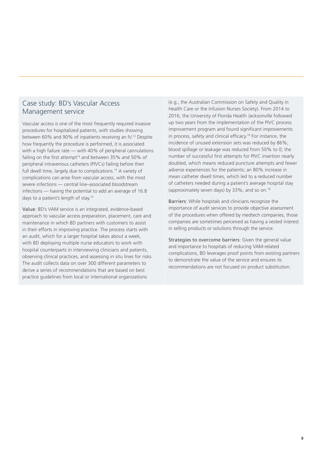### <span id="page-9-0"></span>Case study: BD's Vascular Access Management service

Vascular access is one of the most frequently required invasive procedures for hospitalized patients, with studies showing between 60% and 90% of inpatients receiving an IV[.13](#page-24-0) Despite how frequently the procedure is performed, it is associated with a high failure rate — with 40% of peripheral cannulations failing on the first attempt<sup>14</sup> and between 35% and 50% of peripheral intravenous catheters (PIVCs) failing before their full dwell time, largely due to complications.<sup>13</sup> A variety of complications can arise from vascular access, with the most severe infections — central line–associated bloodstream infections — having the potential to add an average of 16.8 days to a patient's length of stay.<sup>15</sup>

Value: BD's VAM service is an integrated, evidence-based approach to vascular access preparation, placement, care and maintenance in which BD partners with customers to assist in their efforts in improving practice. The process starts with an audit, which for a larger hospital takes about a week, with BD deploying multiple nurse educators to work with hospital counterparts in interviewing clinicians and patients, observing clinical practices, and assessing in situ lines for risks. The audit collects data on over 300 different parameters to derive a series of recommendations that are based on best practice guidelines from local or international organizations

(e.g., the Australian Commission on Safety and Quality in Health Care or the Infusion Nurses Society). From 2014 to 2016, the University of Florida Health Jacksonville followed up two years from the implementation of the PIVC process improvement program and found significant improvements in process, safety and clinical efficacy.[16](#page-24-0) For instance, the incidence of unused extension sets was reduced by 86%; blood spillage or leakage was reduced from 50% to 0; the number of successful first attempts for PIVC insertion nearly doubled, which means reduced puncture attempts and fewer adverse experiences for the patients; an 80% increase in mean catheter dwell times, which led to a reduced number of catheters needed during a patient's average hospital stay (approximately seven days) by 33%; and so on.16

Barriers: While hospitals and clinicians recognize the importance of audit services to provide objective assessment of the procedures when offered by medtech companies, those companies are sometimes perceived as having a vested interest in selling products or solutions through the service.

Strategies to overcome barriers: Given the general value and importance to hospitals of reducing VAM-related complications, BD leverages proof points from existing partners to demonstrate the value of the service and ensures its recommendations are not focused on product substitution.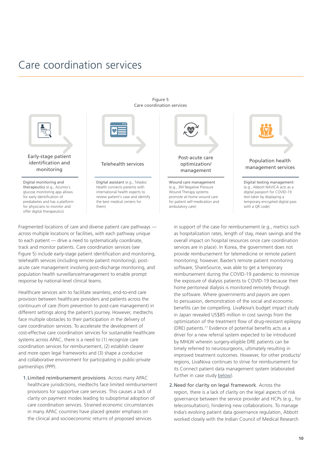## <span id="page-10-0"></span>Care coordination services



Early-stage patient identification and monitoring

Digital monitoring and therapeutics (e.g., Azumio's glucose monitoring app allows for early identification of prediabetes and has a platform for physicians to monitor and offer digital therapeutics)



### Telehealth services

Digital assistant (e.g., Teladoc Health connects patients with international health experts to review patient's case and identify the best medical centers for them)

Fragmented locations of care and diverse patient care pathways across multiple locations or facilities, with each pathway unique to each patient — drive a need to systematically coordinate, track and monitor patients. Care coordination services (see Figure 5) include early-stage patient identification and monitoring, telehealth services (including remote patient monitoring), postacute care management involving post-discharge monitoring, and population health surveillance/management to enable prompt response by national-level clinical teams.

Healthcare services aim to facilitate seamless, end-to-end care provision between healthcare providers and patients across the continuum of care (from prevention to post-care management) in different settings along the patient's journey. However, medtechs face multiple obstacles to their participation in the delivery of care coordination services. To accelerate the development of cost-effective care coordination services for sustainable healthcare systems across APAC, there is a need to (1) recognize care coordination services for reimbursement, (2) establish clearer and more open legal frameworks and (3) shape a conducive and collaborative environment for participating in public-private partnerships (PPP).

1.Limited reimbursement provisions. Across many APAC healthcare jurisdictions, medtechs face limited reimbursement provisions for supportive care services. This causes a lack of clarity on payment modes leading to suboptimal adoption of care coordination services. Strained economic circumstances in many APAC countries have placed greater emphasis on the clinical and socioeconomic returns of proposed services



Figure 5 Care coordination services

> Wound care management (e.g., 3M Negative Pressure Wound Therapy systems promote at-home wound care for patient self-medication and ambulatory care)



#### Population health management services

Digital testing management (e.g., Abbott NAVICA acts as a digital passport for COVID-19 test-taker by displaying a temporary encrypted digital pass with a OR code)

in support of the case for reimbursement (e.g., metrics such as hospitalization rates, length of stay, mean savings and the overall impact on hospital resources once care coordination services are in place). In Korea, the government does not provide reimbursement for telemedicine or remote patient monitoring; however, Baxter's remote patient monitoring software, ShareSource, was able to get a temporary reimbursement during the COVID-19 pandemic to minimize the exposure of dialysis patients to COVID-19 because their home peritoneal dialysis is monitored remotely through the software. Where governments and payors are open to persuasion, demonstration of the social and economic benefits can be compelling. LivaNova's budget impact study in Japan revealed US\$85 million in cost savings from the optimization of the treatment flow of drug-resistant epilepsy (DRE) patients[.17](#page-24-0) Evidence of potential benefits acts as a driver for a new referral system expected to be introduced by MHLW wherein surgery-eligible DRE patients can be timely referred to neurosurgeons, ultimately resulting in improved treatment outcomes. However, for other products/ regions, LivaNova continues to strive for reimbursement for its Connect patient data management system (elaborated further in case study [below\)](#page-11-0).

2.Need for clarity on legal framework. Across the region, there is a lack of clarity on the legal aspects of risk governance between the service provider and HCPs (e.g., for teleconsultation), hindering new collaborations. To manage India's evolving patient data governance regulation, Abbott worked closely with the Indian Council of Medical Research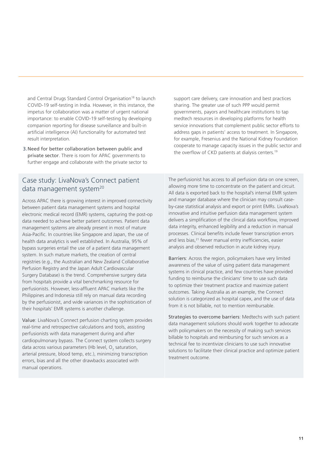and Central Drugs Standard Control Organisation<sup>18</sup> to launch COVID-19 self-testing in India. However, in this instance, the impetus for collaboration was a matter of urgent national importance: to enable COVID-19 self-testing by developing companion reporting for disease surveillance and built-in artificial intelligence (AI) functionality for automated test result interpretation.

3.Need for better collaboration between public and private sector. There is room for APAC governments to further engage and collaborate with the private sector to support care delivery, care innovation and best practices sharing. The greater use of such PPP would permit governments, payors and healthcare institutions to tap medtech resources in developing platforms for health service innovations that complement public sector efforts to address gaps in patients' access to treatment. In Singapore, for example, Fresenius and the National Kidney Foundation cooperate to manage capacity issues in the public sector and the overflow of CKD patients at dialysis centers.<sup>19</sup>

### <span id="page-11-0"></span>Case study: LivaNova's Connect patient data management system<sup>20</sup>

Across APAC there is growing interest in improved connectivity between patient data management systems and hospital electronic medical record (EMR) systems, capturing the post-op data needed to achieve better patient outcomes. Patient data management systems are already present in most of mature Asia-Pacific. In countries like Singapore and Japan, the use of health data analytics is well established. In Australia, 95% of bypass surgeries entail the use of a patient data management system. In such mature markets, the creation of central registries (e.g., the Australian and New Zealand Collaborative Perfusion Registry and the Japan Adult Cardiovascular Surgery Database) is the trend. Comprehensive surgery data from hospitals provide a vital benchmarking resource for perfusionists. However, less-affluent APAC markets like the Philippines and Indonesia still rely on manual data recording by the perfusionist, and wide variances in the sophistication of their hospitals' EMR systems is another challenge.

Value: LivaNova's Connect perfusion charting system provides real-time and retrospective calculations and tools, assisting perfusionists with data management during and after cardiopulmonary bypass. The Connect system collects surgery data across various parameters (Hb level,  $O_2$  saturation, arterial pressure, blood temp, etc.), minimizing transcription errors, bias and all the other drawbacks associated with manual operations.

The perfusionist has access to all perfusion data on one screen, allowing more time to concentrate on the patient and circuit. All data is exported back to the hospital's internal EMR system and manager database where the clinician may consult caseby-case statistical analysis and export or print EMRs. LivaNova's innovative and intuitive perfusion data management system delivers a simplification of the clinical data workflow, improved data integrity, enhanced legibility and a reduction in manual processes. Clinical benefits include fewer transcription errors and less bias,<sup>21</sup> fewer manual entry inefficiencies, easier analysis and observed reduction in acute kidney injury.

Barriers: Across the region, policymakers have very limited awareness of the value of using patient data management systems in clinical practice, and few countries have provided funding to reimburse the clinicians' time to use such data to optimize their treatment practice and maximize patient outcomes. Taking Australia as an example, the Connect solution is categorized as hospital capex, and the use of data from it is not billable, not to mention reimbursable.

Strategies to overcome barriers: Medtechs with such patient data management solutions should work together to advocate with policymakers on the necessity of making such services billable to hospitals and reimbursing for such services as a technical fee to incentivize clinicians to use such innovative solutions to facilitate their clinical practice and optimize patient treatment outcome.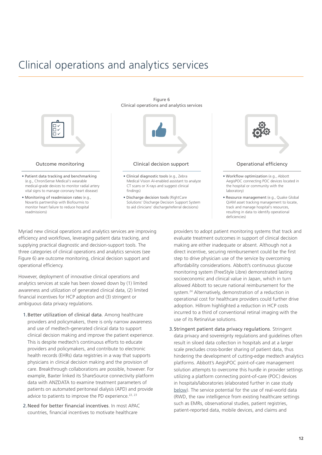## <span id="page-12-0"></span>Clinical operations and analytics services



Figure 6

Myriad new clinical operations and analytics services are improving efficiency and workflows, leveraging patient data tracking, and supplying practical diagnostic and decision-support tools. The three categories of clinical operations and analytics services (see Figure 6) are outcome monitoring, clinical decision support and operational efficiency.

However, deployment of innovative clinical operations and analytics services at scale has been slowed down by (1) limited awareness and utilization of generated clinical data, (2) limited financial incentives for HCP adoption and (3) stringent or ambiguous data privacy regulations.

- 1.Better utilization of clinical data. Among healthcare providers and policymakers, there is only narrow awareness and use of medtech-generated clinical data to support clinical decision making and improve the patient experience. This is despite medtech's continuous efforts to educate providers and policymakers, and contribute to electronic health records (EHRs) data registries in a way that supports physicians in clinical decision making and the provision of care. Breakthrough collaborations are possible, however. For example, Baxter linked its ShareSource connectivity platform data with ANZDATA to examine treatment parameters of patients on automated peritoneal dialysis (APD) and provide advice to patients to improve the PD experience.<sup>[22, 23](#page-24-0)</sup>
- 2.Need for better financial incentives. In most APAC countries, financial incentives to motivate healthcare

providers to adopt patient monitoring systems that track and evaluate treatment outcomes in support of clinical decision making are either inadequate or absent. Although not a direct incentive, securing reimbursement could be the first step to drive physician use of the service by overcoming affordability considerations. Abbott's continuous glucose monitoring system (FreeStyle Libre) demonstrated lasting socioeconomic and clinical value in Japan, which in turn allowed Abbott to secure national reimbursement for the system.<sup>24</sup> Alternatively, demonstration of a reduction in operational cost for healthcare providers could further drive adoption. Hillrom highlighted a reduction in HCP costs incurred to a third of conventional retinal imaging with the use of its RetinaVue solutions.

deficiencies)

3.Stringent patient data privacy regulations. Stringent data privacy and sovereignty regulations and guidelines often result in siloed data collection in hospitals and at a larger scale precludes cross-border sharing of patient data, thus hindering the development of cutting-edge medtech analytics platforms. Abbott's AegisPOC point-of-care management solution attempts to overcome this hurdle in provider settings utilizing a platform connecting point-of-care (POC) devices in hospitals/laboratories (elaborated further in case study [below](#page-13-0)). The service potential for the use of real-world data (RWD, the raw intelligence from existing healthcare settings such as EMRs, observational studies, patient registries, patient-reported data, mobile devices, and claims and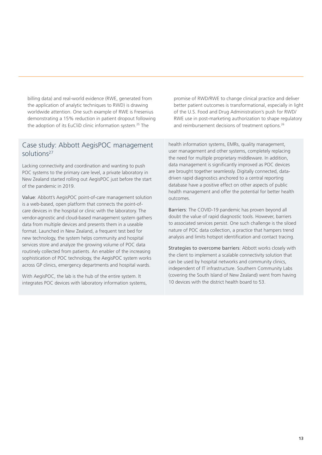billing data) and real-world evidence (RWE, generated from the application of analytic techniques to RWD) is drawing worldwide attention. One such example of RWE is Fresenius demonstrating a 15% reduction in patient dropout following the adoption of its EuCliD clinic information system[.25](#page-24-0) The

### <span id="page-13-0"></span>Case study: Abbott AegisPOC management solution[s27](#page-24-0)

Lacking connectivity and coordination and wanting to push POC systems to the primary care level, a private laboratory in New Zealand started rolling out AegisPOC just before the start of the pandemic in 2019.

Value: Abbott's AegisPOC point-of-care management solution is a web-based, open platform that connects the point-ofcare devices in the hospital or clinic with the laboratory. The vendor-agnostic and cloud-based management system gathers data from multiple devices and presents them in a useable format. Launched in New Zealand, a frequent test bed for new technology, the system helps community and hospital services store and analyze the growing volume of POC data routinely collected from patients. An enabler of the increasing sophistication of POC technology, the AegisPOC system works across GP clinics, emergency departments and hospital wards.

With AegisPOC, the lab is the hub of the entire system. It integrates POC devices with laboratory information systems, promise of RWD/RWE to change clinical practice and deliver better patient outcomes is transformational, especially in light of the U.S. Food and Drug Administration's push for RWD/ RWE use in post-marketing authorization to shape regulatory and reimbursement decisions of treatment options.<sup>[26](#page-24-0)</sup>

health information systems, EMRs, quality management, user management and other systems, completely replacing the need for multiple proprietary middleware. In addition, data management is significantly improved as POC devices are brought together seamlessly. Digitally connected, datadriven rapid diagnostics anchored to a central reporting database have a positive effect on other aspects of public health management and offer the potential for better health outcomes.

Barriers: The COVID-19 pandemic has proven beyond all doubt the value of rapid diagnostic tools. However, barriers to associated services persist. One such challenge is the siloed nature of POC data collection, a practice that hampers trend analysis and limits hotspot identification and contact tracing.

Strategies to overcome barriers: Abbott works closely with the client to implement a scalable connectivity solution that can be used by hospital networks and community clinics, independent of IT infrastructure. Southern Community Labs (covering the South Island of New Zealand) went from having 10 devices with the district health board to 53.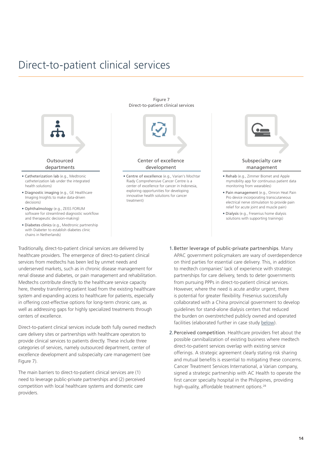## <span id="page-14-0"></span>Direct-to-patient clinical services



Figure 7

Traditionally, direct-to-patient clinical services are delivered by healthcare providers. The emergence of direct-to-patient clinical services from medtechs has been led by unmet needs and underserved markets, such as in chronic disease management for renal disease and diabetes, or pain management and rehabilitation. Medtechs contribute directly to the healthcare service capacity here, thereby transferring patient load from the existing healthcare system and expanding access to healthcare for patients, especially in offering cost-effective options for long-term chronic care, as well as addressing gaps for highly specialized treatments through centers of excellence.

Direct-to-patient clinical services include both fully owned medtech care delivery sites or partnerships with healthcare operators to provide clinical services to patients directly. These include three categories of services, namely outsourced department, center of excellence development and subspecialty care management (see Figure 7).

The main barriers to direct-to-patient clinical services are (1) need to leverage public-private partnerships and (2) perceived competition with local healthcare systems and domestic care providers.

- 1.Better leverage of public-private partnerships. Many APAC government policymakers are wary of overdependence on third parties for essential care delivery. This, in addition to medtech companies' lack of experience with strategic partnerships for care delivery, tends to deter governments from pursuing PPPs in direct-to-patient clinical services. However, where the need is acute and/or urgent, there is potential for greater flexibility. Fresenius successfully collaborated with a China provincial government to develop guidelines for stand-alone dialysis centers that reduced the burden on overstretched publicly owned and operated facilities (elaborated further in case study [below\)](#page-15-0).
- 2.Perceived competition. Healthcare providers fret about the possible cannibalization of existing business where medtech direct-to-patient services overlap with existing service offerings. A strategic agreement clearly stating risk sharing and mutual benefits is essential to mitigating these concerns. Cancer Treatment Services International, a Varian company, signed a strategic partnership with AC Health to operate the first cancer specialty hospital in the Philippines, providing high-quality, affordable treatment options.<sup>28</sup>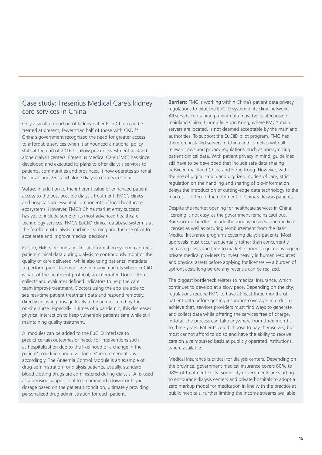### <span id="page-15-0"></span>Case study: Fresenius Medical Care's kidney care services in China

Only a small proportion of kidney patients in China can be treated at present, fewer than half of those with CKD[.29](#page-24-0) China's government recognized the need for greater access to affordable services when it announced a national policy shift at the end of 2016 to allow private investment in standalone dialysis centers. Fresenius Medical Care (FMC) has since developed and executed its plans to offer dialysis services to patients, communities and provinces. It now operates six renal hospitals and 25 stand-alone dialysis centers in China.

Value: In addition to the inherent value of enhanced patient access to the best possible dialysis treatment, FMC's clinics and hospitals are essential components of local healthcare ecosystems. However, FMC's China market entry success has yet to include some of its most advanced healthcare technology services. FMC's EuCliD clinical database system is at the forefront of dialysis machine learning and the use of AI to accelerate and improve medical decisions.

EuCliD, FMC's proprietary clinical information system, captures patient clinical data during dialysis to continuously monitor the quality of care delivered, while also using patients' metadata to perform predictive medicine. In many markets where EuCliD is part of the treatment protocol, an integrated Doctor App collects and evaluates defined indicators to help the care team improve treatment. Doctors using the app are able to see real-time patient treatment data and respond remotely, directly adjusting dosage levels to be administered by the on-site nurse. Especially in times of a pandemic, this decreases physical interaction to keep vulnerable patients safe while still maintaining quality treatment.

AI modules can be added to the EuCliD interface to predict certain outcomes or needs for interventions such as hospitalization due to the likelihood of a change in the patient's condition and give doctors' recommendations accordingly. The Anaemia Control Module is an example of drug administration for dialysis patients. Usually, standard blood clotting drugs are administered during dialysis; AI is used as a decision support tool to recommend a lower or higher dosage based on the patient's condition, ultimately providing personalized drug administration for each patient.

Barriers: FMC is working within China's patient data privacy regulations to pilot the EuCliD system in its clinic network. All servers containing patient data must be located inside mainland China. Currently, Hong Kong, where FMC's main servers are located, is not deemed acceptable by the mainland authorities. To support the EuCliD pilot program, FMC has therefore installed servers in China and complies with all relevant laws and privacy regulations, such as anonymizing patient clinical data. With patient privacy in mind, guidelines still have to be developed that include safe data sharing between mainland China and Hong Kong. However, with the rise of digitalization and digitized models of care, strict regulation on the handling and sharing of bio-information delays the introduction of cutting-edge data technology to the market — often to the detriment of China's dialysis patients.

Despite the market opening for healthcare services in China, licensing is not easy, as the government remains cautious. Bureaucratic hurdles include the various business and medical licenses as well as securing reimbursement from the Basic Medical Insurance programs covering dialysis patients. Most approvals must occur sequentially rather than concurrently, increasing costs and time to market. Current regulations require private medical providers to invest heavily in human resources and physical assets before applying for licenses — a burden of upfront costs long before any revenue can be realized.

The biggest bottleneck relates to medical insurance, which continues to develop at a slow pace. Depending on the city, regulations require FMC to have at least three months of patient data before getting insurance coverage. In order to achieve that, services providers must find ways to generate and collect data while offering the services free of charge. In total, the process can take anywhere from three months to three years. Patients could choose to pay themselves, but most cannot afford to do so and have the ability to receive care on a reimbursed basis at publicly operated institutions, where available.

Medical insurance is critical for dialysis centers. Depending on the province, government medical insurance covers 80% to 98% of treatment costs. Some city governments are starting to encourage dialysis centers and private hospitals to adopt a zero markup model for medication in line with the practice at public hospitals, further limiting the income streams available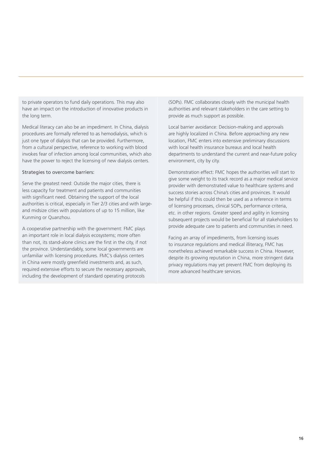to private operators to fund daily operations. This may also have an impact on the introduction of innovative products in the long term.

Medical literacy can also be an impediment. In China, dialysis procedures are formally referred to as hemodialysis, which is just one type of dialysis that can be provided. Furthermore, from a cultural perspective, reference to working with blood invokes fear of infection among local communities, which also have the power to reject the licensing of new dialysis centers.

#### Strategies to overcome barriers:

Serve the greatest need: Outside the major cities, there is less capacity for treatment and patients and communities with significant need. Obtaining the support of the local authorities is critical, especially in Tier 2/3 cities and with largeand midsize cities with populations of up to 15 million, like Kunming or Quanzhou.

A cooperative partnership with the government: FMC plays an important role in local dialysis ecosystems; more often than not, its stand-alone clinics are the first in the city, if not the province. Understandably, some local governments are unfamiliar with licensing procedures. FMC's dialysis centers in China were mostly greenfield investments and, as such, required extensive efforts to secure the necessary approvals, including the development of standard operating protocols

(SOPs). FMC collaborates closely with the municipal health authorities and relevant stakeholders in the care setting to provide as much support as possible.

Local barrier avoidance: Decision-making and approvals are highly localized in China. Before approaching any new location, FMC enters into extensive preliminary discussions with local health insurance bureaus and local health departments to understand the current and near-future policy environment, city by city.

Demonstration effect: FMC hopes the authorities will start to give some weight to its track record as a major medical service provider with demonstrated value to healthcare systems and success stories across China's cities and provinces. It would be helpful if this could then be used as a reference in terms of licensing processes, clinical SOPs, performance criteria, etc. in other regions. Greater speed and agility in licensing subsequent projects would be beneficial for all stakeholders to provide adequate care to patients and communities in need.

Facing an array of impediments, from licensing issues to insurance regulations and medical illiteracy, FMC has nonetheless achieved remarkable success in China. However, despite its growing reputation in China, more stringent data privacy regulations may yet prevent FMC from deploying its more advanced healthcare services.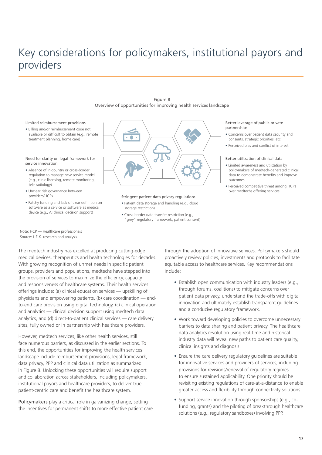## <span id="page-17-0"></span>Key considerations for policymakers, institutional payors and providers



#### Limited reimbursement provisions

• Billing and/or reimbursement code not available or difficult to obtain (e.g., remote treatment planning, home care)

#### Need for clarity on legal framework for service innovation

- Absence of in-country or cross-border regulation to manage new service model (e.g., clinic licensing, remote monitoring, tele-radiology)
- Unclear risk governance between providers/HCPs
- Patchy funding and lack of clear definition on software as a service or software as medical device (e.g., AI clinical decision support)



#### Stringent patient data privacy regulations

- Patient data storage and handling (e.g., cloud storage restriction)
- Cross-border data transfer restriction (e.g., "grey" regulatory framework, patient consent)

#### Better leverage of public-private partnerships

- Concerns over patient data security and consents, strategic priorities, etc.
- Perceived bias and conflict of interest

#### Better utilization of clinical data

- Limited awareness and utilization by policymakers of medtech-generated clinical data to demonstrate benefits and improve outcomes
- Perceived competitive threat among HCPs over medtechs offering services

Note: HCP — Healthcare professionals Source: L.E.K. research and analysis

The medtech industry has excelled at producing cutting-edge medical devices, therapeutics and health technologies for decades. With growing recognition of unmet needs in specific patient groups, providers and populations, medtechs have stepped into the provision of services to maximize the efficiency, capacity and responsiveness of healthcare systems. Their health services offerings include: (a) clinical education services — upskilling of physicians and empowering patients, (b) care coordination — endto-end care provision using digital technology, (c) clinical operation and analytics — clinical decision support using medtech data analytics, and (d) direct-to-patient clinical services — care delivery sites, fully owned or in partnership with healthcare providers.

However, medtech services, like other health services, still face numerous barriers, as discussed in the earlier sections. To this end, the opportunities for improving the health services landscape include reimbursement provisions, legal framework, data privacy, PPP and clinical data utilization as summarized in Figure 8. Unlocking these opportunities will require support and collaboration across stakeholders, including policymakers, institutional payors and healthcare providers, to deliver true patient-centric care and benefit the healthcare system.

Policymakers play a critical role in galvanizing change, setting the incentives for permanent shifts to more effective patient care through the adoption of innovative services. Policymakers should proactively review policies, investments and protocols to facilitate equitable access to healthcare services. Key recommendations include:

- Establish open communication with industry leaders (e.g., through forums, coalitions) to mitigate concerns over patient data privacy, understand the trade-offs with digital innovation and ultimately establish transparent guidelines and a conducive regulatory framework.
- Work toward developing policies to overcome unnecessary barriers to data sharing and patient privacy. The healthcare data analytics revolution using real-time and historical industry data will reveal new paths to patient care quality, clinical insights and diagnosis.
- Ensure the care delivery regulatory guidelines are suitable for innovative services and providers of services, including provisions for revisions/renewal of regulatory regimes to ensure sustained applicability. One priority should be revisiting existing regulations of care-at-a-distance to enable greater access and flexibility through connectivity solutions.
- Support service innovation through sponsorships (e.g., cofunding, grants) and the piloting of breakthrough healthcare solutions (e.g., regulatory sandboxes) involving PPP.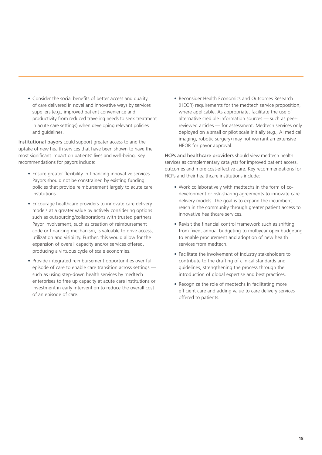• Consider the social benefits of better access and quality of care delivered in novel and innovative ways by services suppliers (e.g., improved patient convenience and productivity from reduced traveling needs to seek treatment in acute care settings) when developing relevant policies and guidelines.

Institutional payors could support greater access to and the uptake of new health services that have been shown to have the most significant impact on patients' lives and well-being. Key recommendations for payors include:

- Ensure greater flexibility in financing innovative services. Payors should not be constrained by existing funding policies that provide reimbursement largely to acute care institutions.
- Encourage healthcare providers to innovate care delivery models at a greater value by actively considering options such as outsourcing/collaborations with trusted partners. Payor involvement, such as creation of reimbursement code or financing mechanism, is valuable to drive access, utilization and visibility. Further, this would allow for the expansion of overall capacity and/or services offered, producing a virtuous cycle of scale economies.
- Provide integrated reimbursement opportunities over full episode of care to enable care transition across settings such as using step-down health services by medtech enterprises to free up capacity at acute care institutions or investment in early intervention to reduce the overall cost of an episode of care.

• Reconsider Health Economics and Outcomes Research (HEOR) requirements for the medtech service proposition, where applicable. As appropriate, facilitate the use of alternative credible information sources — such as peerreviewed articles — for assessment. Medtech services only deployed on a small or pilot scale initially (e.g., AI medical imaging, robotic surgery) may not warrant an extensive HEOR for payor approval.

HCPs and healthcare providers should view medtech health services as complementary catalysts for improved patient access, outcomes and more cost-effective care. Key recommendations for HCPs and their healthcare institutions include:

- Work collaboratively with medtechs in the form of codevelopment or risk-sharing agreements to innovate care delivery models. The goal is to expand the incumbent reach in the community through greater patient access to innovative healthcare services.
- Revisit the financial control framework such as shifting from fixed, annual budgeting to multiyear opex budgeting to enable procurement and adoption of new health services from medtech.
- Facilitate the involvement of industry stakeholders to contribute to the drafting of clinical standards and guidelines, strengthening the process through the introduction of global expertise and best practices.
- Recognize the role of medtechs in facilitating more efficient care and adding value to care delivery services offered to patients.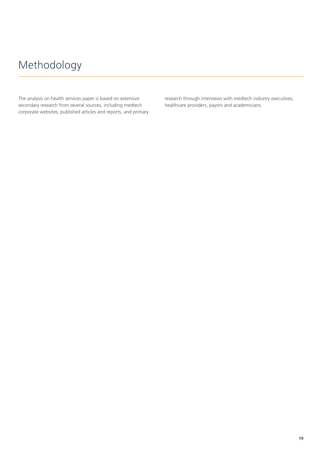## <span id="page-19-0"></span>Methodology

The analysis on health services paper is based on extensive secondary research from several sources, including medtech corporate websites, published articles and reports, and primary research through interviews with medtech industry executives, healthcare providers, payors and academicians.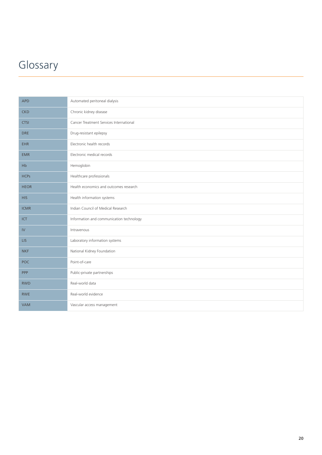## <span id="page-20-0"></span>Glossary

| <b>APD</b>  | Automated peritoneal dialysis            |  |  |
|-------------|------------------------------------------|--|--|
| <b>CKD</b>  | Chronic kidney disease                   |  |  |
| <b>CTSI</b> | Cancer Treatment Services International  |  |  |
| <b>DRE</b>  | Drug-resistant epilepsy                  |  |  |
| <b>EHR</b>  | Electronic health records                |  |  |
| <b>EMR</b>  | Electronic medical records               |  |  |
| Hb          | Hemoglobin                               |  |  |
| <b>HCPs</b> | Healthcare professionals                 |  |  |
| <b>HEOR</b> | Health economics and outcomes research   |  |  |
| <b>HIS</b>  | Health information systems               |  |  |
| <b>ICMR</b> | Indian Council of Medical Research       |  |  |
| ICT         | Information and communication technology |  |  |
| IV          | Intravenous                              |  |  |
| <b>LIS</b>  | Laboratory information systems           |  |  |
| <b>NKF</b>  | National Kidney Foundation               |  |  |
| <b>POC</b>  | Point-of-care                            |  |  |
| PPP         | Public-private partnerships              |  |  |
| <b>RWD</b>  | Real-world data                          |  |  |
| <b>RWE</b>  | Real-world evidence                      |  |  |
| <b>VAM</b>  | Vascular access management               |  |  |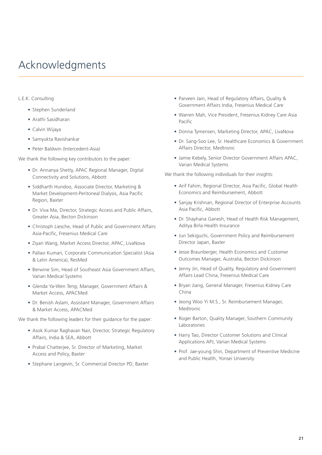## <span id="page-21-0"></span>Acknowledgments

### L.E.K. Consulting

- Stephen Sunderland
- Arathi Sasidharan
- Calvin Wijaya
- Samyukta Ravishankar
- Peter Baldwin (Intercedent-Asia)

We thank the following key contributors to the paper:

- Dr. Annanya Shetty, APAC Regional Manager, Digital Connectivity and Solutions, Abbott
- Siddharth Hundoo, Associate Director, Marketing & Market Development-Peritoneal Dialysis, Asia Pacific Region, Baxter
- Dr. Viva Ma, Director, Strategic Access and Public Affairs, Greater Asia, Becton Dickinson
- Christoph Liesche, Head of Public and Government Affairs Asia-Pacific, Fresenius Medical Care
- Ziyan Wang, Market Access Director, APAC, LivaNova
- Pallavi Kumari, Corporate Communication Specialist (Asia & Latin America), ResMed
- Berwine Sim, Head of Southeast Asia Government Affairs, Varian Medical Systems
- Glenda Ya-Wen Teng, Manager, Government Affairs & Market Access, APACMed
- Dr. Benish Aslam, Assistant Manager, Government Affairs & Market Access, APACMed

We thank the following leaders for their guidance for the paper:

- Asok Kumar Raghavan Nair, Director, Strategic Regulatory Affairs, India & SEA, Abbott
- Prabal Chatterjee, Sr. Director of Marketing, Market Access and Policy, Baxter
- Stephane Langevin, Sr. Commercial Director PD, Baxter
- Parveen Jain, Head of Regulatory Affairs, Quality & Government Affairs India, Fresenius Medical Care
- Warren Mah, Vice President, Fresenius Kidney Care Asia Pacific
- Donna Tymensen, Marketing Director, APAC, LivaNova
- Dr. Sang-Soo Lee, Sr. Healthcare Economics & Government Affairs Director, Medtronic
- Jamie Kebely, Senior Director Government Affairs APAC, Varian Medical Systems

We thank the following individuals for their insights:

- Arif Fahim, Regional Director, Asia Pacific, Global Health Economics and Reimbursement, Abbott
- Sanjay Krishnan, Regional Director of Enterprise Accounts Asia Pacific, Abbott
- Dr. Shayhana Ganesh, Head of Health Risk Management, Aditya Birla Health Insurance
- Jun Sekiguchi, Government Policy and Reimbursement Director Japan, Baxter
- Jesse Braunberger, Health Economics and Customer Outcomes Manager, Australia, Becton Dickinson
- Jenny Jin, Head of Quality, Regulatory and Government Affairs Lead China, Fresenius Medical Care
- Bryan Jiang, General Manager, Fresenius Kidney Care China
- Jeong Woo Yi M.S., Sr. Reimbursement Manager, Medtronic
- Roger Barton, Quality Manager, Southern Community Laboratories
- Harry Tao, Director Customer Solutions and Clinical Applications APJ, Varian Medical Systems
- Prof. Jae-young Shin, Department of Preventive Medicine and Public Health, Yonsei University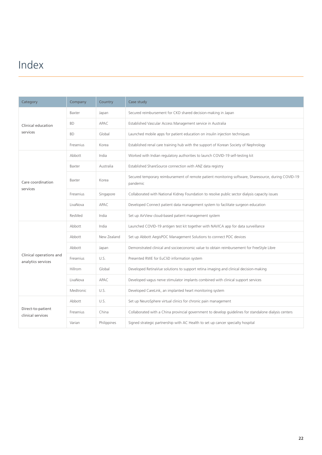## <span id="page-22-0"></span>Index

| Category                                      | Company   | Country     | Case study                                                                                                      |
|-----------------------------------------------|-----------|-------------|-----------------------------------------------------------------------------------------------------------------|
| Clinical education<br>services                | Baxter    | Japan       | Secured reimbursement for CKD shared decision-making in Japan                                                   |
|                                               | <b>BD</b> | APAC        | Established Vascular Access Management service in Australia                                                     |
|                                               | <b>BD</b> | Global      | Launched mobile apps for patient education on insulin injection techniques                                      |
|                                               | Fresenius | Korea       | Established renal care training hub with the support of Korean Society of Nephrology                            |
| Care coordination<br>services                 | Abbott    | India       | Worked with Indian regulatory authorities to launch COVID-19 self-testing kit                                   |
|                                               | Baxter    | Australia   | Established ShareSource connection with ANZ data registry                                                       |
|                                               | Baxter    | Korea       | Secured temporary reimbursement of remote patient monitoring software, Sharesource, during COVID-19<br>pandemic |
|                                               | Fresenius | Singapore   | Collaborated with National Kidney Foundation to resolve public sector dialysis capacity issues                  |
|                                               | LivaNova  | APAC        | Developed Connect patient data management system to facilitate surgeon education                                |
|                                               | ResMed    | India       | Set up AirView cloud-based patient management system                                                            |
|                                               | Abbott    | India       | Launched COVID-19 antigen test kit together with NAVICA app for data surveillance                               |
|                                               | Abbott    | New Zealand | Set up Abbott AegisPOC Management Solutions to connect POC devices                                              |
|                                               | Abbott    | Japan       | Demonstrated clinical and socioeconomic value to obtain reimbursement for FreeStyle Libre                       |
| Clinical operations and<br>analytics services | Fresenius | U.S.        | Presented RWE for EuCliD information system                                                                     |
|                                               | Hillrom   | Global      | Developed RetinaVue solutions to support retina imaging and clinical decision-making                            |
|                                               | LivaNova  | APAC        | Developed vagus nerve stimulator implants combined with clinical support services                               |
|                                               | Medtronic | U.S.        | Developed CareLink, an implanted heart monitoring system                                                        |
| Direct-to-patient<br>clinical services        | Abbott    | U.S.        | Set up NeuroSphere virtual clinics for chronic pain management                                                  |
|                                               | Fresenius | China       | Collaborated with a China provincial government to develop guidelines for standalone dialysis centers           |
|                                               | Varian    | Philippines | Signed strategic partnership with AC Health to set up cancer specialty hospital                                 |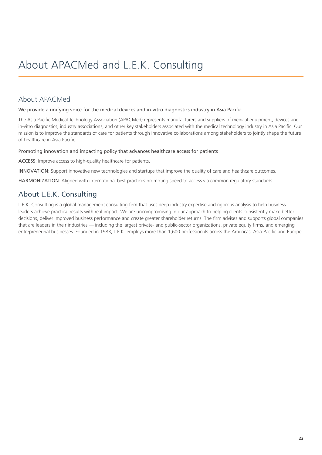### <span id="page-23-0"></span>About APACMed

We provide a unifying voice for the medical devices and in-vitro diagnostics industry in Asia Pacific

The Asia Pacific Medical Technology Association (APACMed) represents manufacturers and suppliers of medical equipment, devices and in-vitro diagnostics; industry associations; and other key stakeholders associated with the medical technology industry in Asia Pacific. Our mission is to improve the standards of care for patients through innovative collaborations among stakeholders to jointly shape the future of healthcare in Asia Pacific.

### Promoting innovation and impacting policy that advances healthcare access for patients

ACCESS: Improve access to high-quality healthcare for patients.

INNOVATION: Support innovative new technologies and startups that improve the quality of care and healthcare outcomes.

HARMONIZATION: Aligned with international best practices promoting speed to access via common regulatory standards.

### About L.E.K. Consulting

L.E.K. Consulting is a global management consulting firm that uses deep industry expertise and rigorous analysis to help business leaders achieve practical results with real impact. We are uncompromising in our approach to helping clients consistently make better decisions, deliver improved business performance and create greater shareholder returns. The firm advises and supports global companies that are leaders in their industries — including the largest private- and public-sector organizations, private equity firms, and emerging entrepreneurial businesses. Founded in 1983, L.E.K. employs more than 1,600 professionals across the Americas, Asia-Pacific and Europe.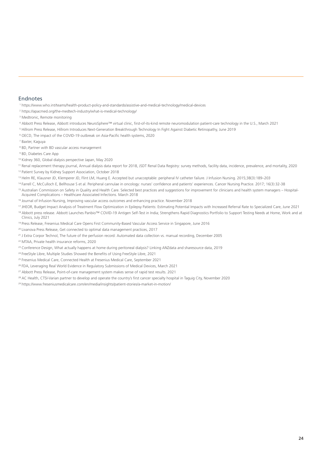#### <span id="page-24-0"></span>Endnotes

<https://www.who.int/teams/health-product-policy-and-standards/assistive-and-medical-technology/medical-devices>

- <https://apacmed.org/the-medtech-industry/what-is-medical-technology/>
- [Medtronic, Remote monitoring](https://www.medtronic.com/us-en/patients/treatments-therapies/remote-monitoring.html)
- [Abbott Press Release, Abbott introduces NeuroSphere™ virtual clinic, first-of-its-kind remote neuromodulation patient-care technology in the U.S., March 2021](https://abbott.mediaroom.com/2021-03-08-Abbott-Introduces-NeuroSphere-TM-Virtual-Clinic-First-of-its-Kind-Remote-Neuromodulation-Patient-Care-Technology-in-the-U-S)
- [Hillrom Press Release, Hillrom Introduces Next-Generation Breakthrough Technology In Fight Against Diabetic Retinopathy, June 2019](https://ir.hill-rom.com/press-releases/press-release-details/2019/hillrom-introduces-next-generation-breakthrough-technology-in-fight-against-diabetic-retinopathy/default.aspx)
- [OECD, The impact of the COVID-19 outbreak on Asia-Pacific health systems, 2020](https://www.oecd-ilibrary.org/sites/26b007cd-en/1/3/2/index.html?itemId=/content/publication/26b007cd-en&_csp_=9d6efe24f5294256e88ec3744093e084&itemIGO=oecd&itemContentType=book)
- [Baxter, Kaguya](https://renalcare.baxter.com/products/kaguya)
- [BD, Partner with BD vascular access management](https://www.bd.com/en-us/offerings/integrated-solutions/vascular-access-management/partner-with-bd)
- [BD, Diabetes Care App](https://www.bd.com/en-us/offerings/capabilities/diabetes-care/bd-diabetes-care-mobile-app)
- [Kidney 360, Global dialysis perspective Japan, May 2020](https://kidney360.asnjournals.org/content/1/5/416)

 [Renal replacement therapy journal, Annual dialysis data report for 2018, JSDT Renal Data Registry: survey methods, facility data, incidence, prevalence, and mortality, 2020](https://rrtjournal.biomedcentral.com/articles/10.1186/s41100-020-00286-9) Patient Survey by Kidney Support Association, October 2018

- Helm RE, Klausner JD, Klemperer JD, Flint LM, Huang E. Accepted but unacceptable: peripheral IV catheter failure. J Infusion Nursing. 2015;38(3):189–203
- Farrell C, McCulloch E, Bellhouse S et al. Peripheral cannulae in oncology: nurses' confidence and patients' experiences. Cancer Nursing Practice. 2017; 16(3):32-38
- <sup>15</sup> Australian Commission on Safety in Quality and Health Care. Selected best practices and suggestions for improvement for clinicians and health system managers Hospital-Acquired Complications – Healthcare Associated Infections. March 2018
- [Journal of Infusion Nursing, Improving vascular access outcomes and enhancing practice. November 2018](https://www.ncbi.nlm.nih.gov/pmc/articles/PMC6716567/)
- [JHEOR, Budget Impact Analysis of Treatment Flow Optimization in Epilepsy Patients: Estimating Potential Impacts with Increased Referral Rate to Specialized Care, June 2021](https://jheor.org/article/24061) <sup>18</sup> Abbott press release. Abbott Launches Panbio™ COVID-19 Antigen Self-Test in India; Strengthens Rapid Diagnostics Portfolio to Support Testing Needs at Home, Work and at [Clinics, July 2021](https://www.abbott.in/media-center/press-releases/abbott-launches-panbio-covid-19-antigen-self-test-in-india.html)
- [Press Release, Fresenius Medical Care Opens First Community-Based Vascular Access Service in Singapore, June 2016](https://media-outreach.co.kr/news/2016-06-09/2328/fresenius-medical-care-opens-first-community-based-vascular-access-service-in-singapore)

[Livanova Press Release, Get connected to optimal data management practices, 2017](https://livanovamediaprod.azureedge.net/livanova-media/livanova-public/media/resources01/connect-brochure_1.pdf?ext=.pdf)

[J Extra Corpor Technol, The future of the perfusion record: Automated data collection vs. manual recording, December 2005](https://www.ncbi.nlm.nih.gov/pmc/articles/PMC4680825/)

[MTAA, Private health insurance reforms, 2020](https://consultations.health.gov.au/medical-benefits-division/consultation-paper-phi-reforms-secondwave/results/mtaasubmission.pdf)

- <sup>23</sup> [Conference Design, What actually happens at home during peritoneal dialysis? Linking ANZdata and sharesource data, 2019](https://www.anzsnasm.com/12776)
- [FreeStyle Libre, Multiple Studies Showed the Benefits of Using FreeStyle Libre, 2021](https://www.freestyle.abbott/in-en/discover/clinical-studies.html)
- [Fresenius Medical Care, Connected Health at Fresenius Medical Care, September 2021](https://fmcna.com/insights/amr/2021/connected-health-fresenius-medical-care/)
- [FDA, Leveraging Real World Evidence in Regulatory Submissions of Medical Devices, March 2021](https://www.fda.gov/news-events/fda-voices/leveraging-real-world-evidence-regulatory-submissions-medical-devices)
- [Abbott Press Release, Point-of-care management system makes sense of rapid test results. 2021](https://www.aus.abbott/media-center/news/point-of-care-management-system-makes-sense-of-rapid-test-results.html)
- <sup>28</sup> [AC Health, CTSI-Varian partner to develop and operate the country's first cancer specialty hospital in Taguig City, November 2020](https://www.achealth.com.ph/news/ac-health-ctsi-varian-partner-to-develop-and-operate-the-countrys-first-cancer-specialty-hospital-in-taguig-city)
- <https://www.freseniusmedicalcare.com/en/media/insights/patient-stories/a-market-in-motion/>